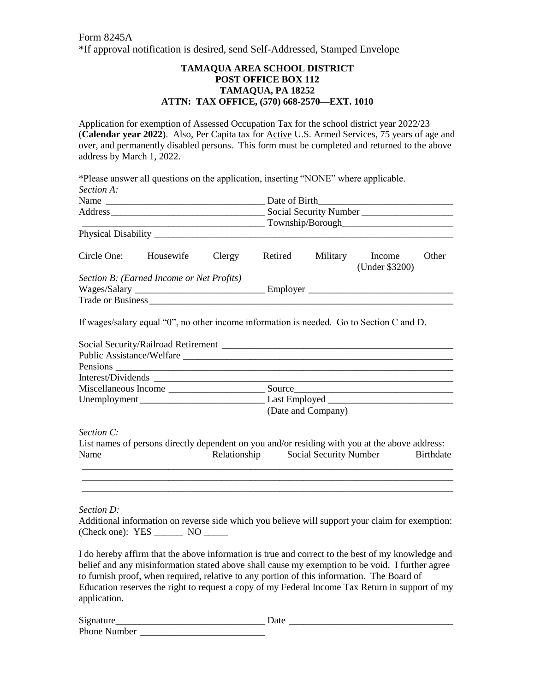## **TAMAQUA AREA SCHOOL DISTRICT POST OFFICE BOX 112 TAMAQUA, PA 18252 ATTN: TAX OFFICE, (570) 668-2570—EXT. 1010**

Application for exemption of Assessed Occupation Tax for the school district year 2022/23 (**Calendar year 2022**). Also, Per Capita tax for Active U.S. Armed Services, 75 years of age and over, and permanently disabled persons. This form must be completed and returned to the above address by March 1, 2022.

\*Please answer all questions on the application, inserting "NONE" where applicable. *Section A:* Name \_\_\_\_\_\_\_\_\_\_\_\_\_\_\_\_\_\_\_\_\_\_\_\_\_\_\_\_\_\_\_\_\_ Date of Birth\_\_\_\_\_\_\_\_\_\_\_\_\_\_\_\_\_\_\_\_\_\_\_\_\_\_\_\_ Address\_\_\_\_\_\_\_\_\_\_\_\_\_\_\_\_\_\_\_\_\_\_\_\_\_\_\_\_\_\_\_\_ Social Security Number \_\_\_\_\_\_\_\_\_\_\_\_\_\_\_\_\_\_\_  $Township/Borough$ Physical Disability \_\_\_\_\_\_\_\_\_\_\_\_\_\_\_\_\_\_\_\_\_\_\_\_\_\_\_\_\_\_\_\_\_\_\_\_\_\_\_\_\_\_\_\_\_\_\_\_\_\_\_\_\_\_\_\_\_\_\_\_\_\_ Circle One: Housewife Clergy Retired Military Income Other (Under \$3200) *Section B: (Earned Income or Net Profits)* Wages/Salary \_\_\_\_\_\_\_\_\_\_\_\_\_\_\_\_\_\_\_\_\_\_\_\_\_\_\_ Employer \_\_\_\_\_\_\_\_\_\_\_\_\_\_\_\_\_\_\_\_\_\_\_\_\_\_\_\_\_\_ Trade or Business If wages/salary equal "0", no other income information is needed. Go to Section C and D. Social Security/Railroad Retirement

|            | Source                                                                                         |
|------------|------------------------------------------------------------------------------------------------|
|            | Unemployment Last Employed Last Employed                                                       |
|            | (Date and Company)                                                                             |
| Section C: |                                                                                                |
|            | List names of persons directly dependent on you and/or residing with you at the above address: |

| List names of persons directly dependent on you and/or residing with you at the above address: |              |                        |           |  |
|------------------------------------------------------------------------------------------------|--------------|------------------------|-----------|--|
| Name                                                                                           | Relationship | Social Security Number | Birthdate |  |
|                                                                                                |              |                        |           |  |

\_\_\_\_\_\_\_\_\_\_\_\_\_\_\_\_\_\_\_\_\_\_\_\_\_\_\_\_\_\_\_\_\_\_\_\_\_\_\_\_\_\_\_\_\_\_\_\_\_\_\_\_\_\_\_\_\_\_\_\_\_\_\_\_\_\_\_\_\_\_\_\_\_\_\_\_\_ \_\_\_\_\_\_\_\_\_\_\_\_\_\_\_\_\_\_\_\_\_\_\_\_\_\_\_\_\_\_\_\_\_\_\_\_\_\_\_\_\_\_\_\_\_\_\_\_\_\_\_\_\_\_\_\_\_\_\_\_\_\_\_\_\_\_\_\_\_\_\_\_\_\_\_\_\_

*Section D:*

Additional information on reverse side which you believe will support your claim for exemption: (Check one): YES \_\_\_\_\_\_ NO \_\_\_\_\_

I do hereby affirm that the above information is true and correct to the best of my knowledge and belief and any misinformation stated above shall cause my exemption to be void. I further agree to furnish proof, when required, relative to any portion of this information. The Board of Education reserves the right to request a copy of my Federal Income Tax Return in support of my application.

| Signature    | Date |
|--------------|------|
| Phone Number |      |